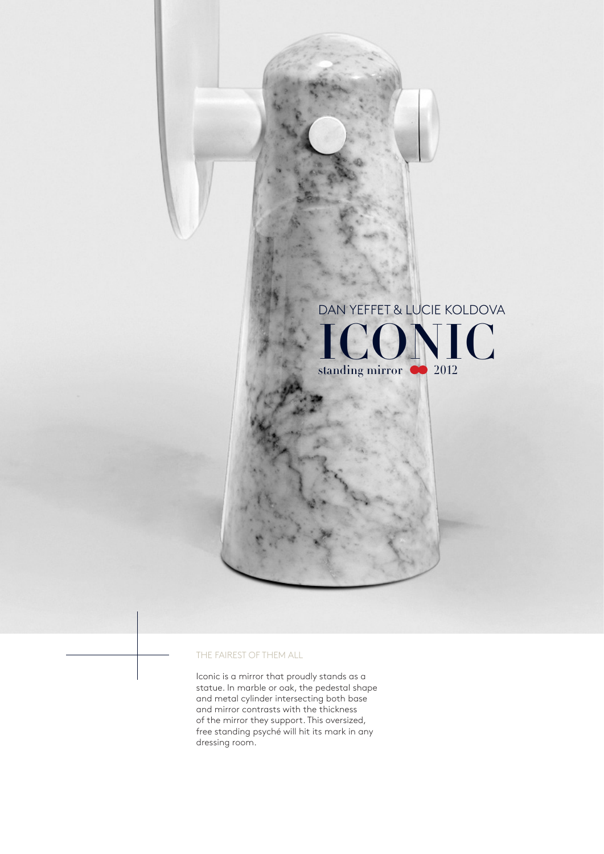

## THE FAIREST OF THEM ALL

Iconic is a mirror that proudly stands as a statue. In marble or oak, the pedestal shape and metal cylinder intersecting both base and mirror contrasts with the thickness of the mirror they support. This oversized, free standing psyché will hit its mark in any dressing room.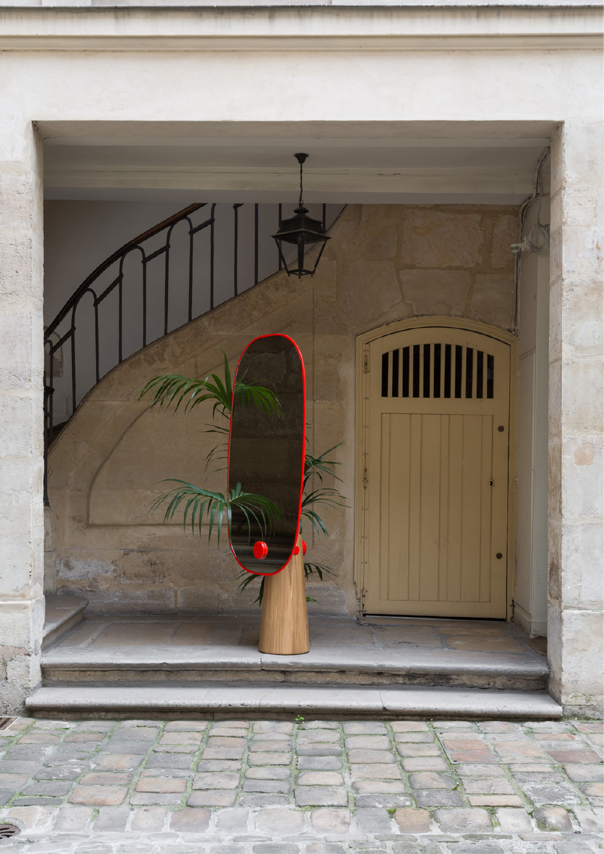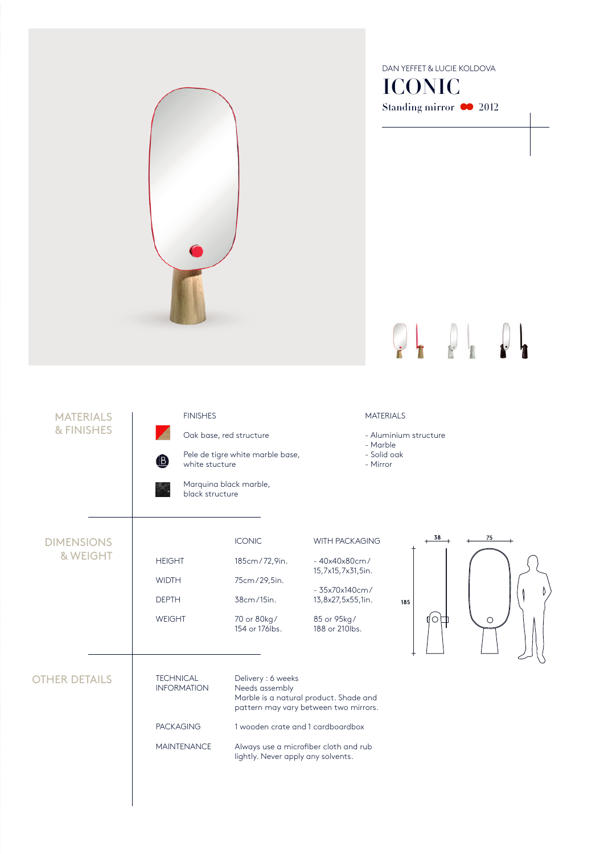





| <b>MATERIALS</b>                                      | <b>FINISHES</b><br>Oak base, red structure<br>Pele de tigre white marble base,<br>(B)<br>white stucture<br>Marquina black marble,<br>black structure |                                                                                                                                                                                                                  | <b>MATERIALS</b><br>- Aluminium structure<br>- Marble<br>- Solid oak<br>- Mirror                                                                                                                                                                          |                  |                    |
|-------------------------------------------------------|------------------------------------------------------------------------------------------------------------------------------------------------------|------------------------------------------------------------------------------------------------------------------------------------------------------------------------------------------------------------------|-----------------------------------------------------------------------------------------------------------------------------------------------------------------------------------------------------------------------------------------------------------|------------------|--------------------|
| <b>&amp; FINISHES</b>                                 |                                                                                                                                                      |                                                                                                                                                                                                                  |                                                                                                                                                                                                                                                           |                  |                    |
| <b>DIMENSIONS</b><br>& WEIGHT<br><b>OTHER DETAILS</b> | <b>HEIGHT</b><br><b>WIDTH</b><br><b>DEPTH</b><br><b>WEIGHT</b><br><b>TECHNICAL</b><br><b>INFORMATION</b><br><b>PACKAGING</b><br><b>MAINTENANCE</b>   | <b>ICONIC</b><br>185cm/72,9in.<br>75cm/29,5in.<br>38cm/15in.<br>70 or 80kg/<br>154 or 176lbs.<br>Delivery : 6 weeks<br>Needs assembly<br>1 wooden crate and 1 cardboardbox<br>lightly. Never apply any solvents. | WITH PACKAGING<br>- 40x40x80cm/<br>15,7x15,7x31,5in.<br>$-35x70x140cm/$<br>13,8x27,5x55,1in.<br>85 or 95kg/<br>188 or 210lbs.<br>Marble is a natural product. Shade and<br>pattern may vary between two mirrors.<br>Always use a microfiber cloth and rub | 38<br>185<br>ं○¤ | 75<br>♦<br>$\circ$ |
|                                                       |                                                                                                                                                      |                                                                                                                                                                                                                  |                                                                                                                                                                                                                                                           |                  |                    |